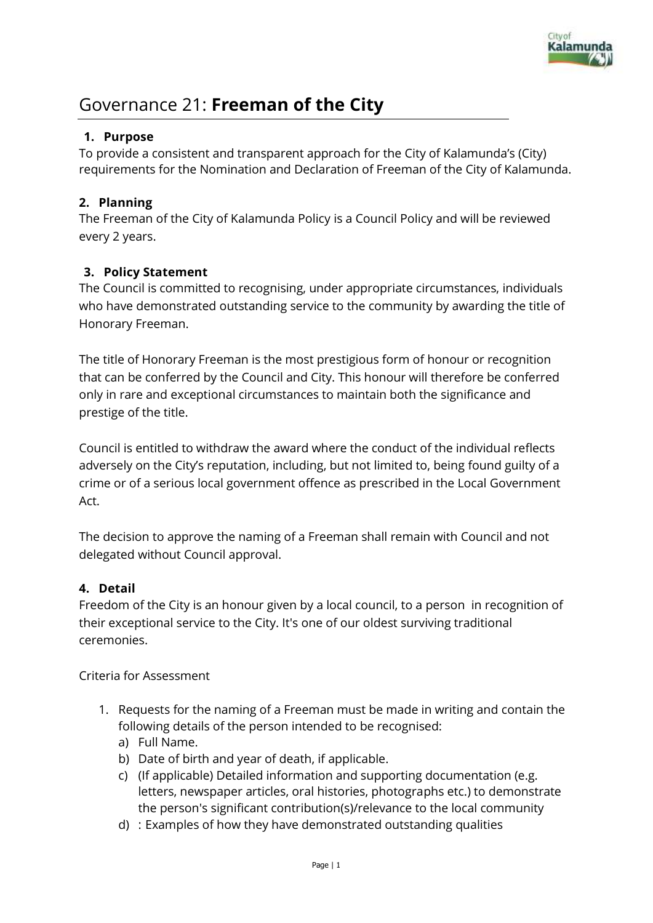

# Governance 21: **Freeman of the City**

## **1. Purpose**

To provide a consistent and transparent approach for the City of Kalamunda's (City) requirements for the Nomination and Declaration of Freeman of the City of Kalamunda.

# **2. Planning**

The Freeman of the City of Kalamunda Policy is a Council Policy and will be reviewed every 2 years.

# **3. Policy Statement**

The Council is committed to recognising, under appropriate circumstances, individuals who have demonstrated outstanding service to the community by awarding the title of Honorary Freeman.

The title of Honorary Freeman is the most prestigious form of honour or recognition that can be conferred by the Council and City. This honour will therefore be conferred only in rare and exceptional circumstances to maintain both the significance and prestige of the title.

Council is entitled to withdraw the award where the conduct of the individual reflects adversely on the City's reputation, including, but not limited to, being found guilty of a crime or of a serious local government offence as prescribed in the Local Government Act.

The decision to approve the naming of a Freeman shall remain with Council and not delegated without Council approval.

## **4. Detail**

Freedom of the City is an honour given by a local council, to a person in recognition of their exceptional service to the City. It's one of our oldest surviving traditional ceremonies.

Criteria for Assessment

- 1. Requests for the naming of a Freeman must be made in writing and contain the following details of the person intended to be recognised:
	- a) Full Name.
	- b) Date of birth and year of death, if applicable.
	- c) (If applicable) Detailed information and supporting documentation (e.g. letters, newspaper articles, oral histories, photographs etc.) to demonstrate the person's significant contribution(s)/relevance to the local community
	- d) : Examples of how they have demonstrated outstanding qualities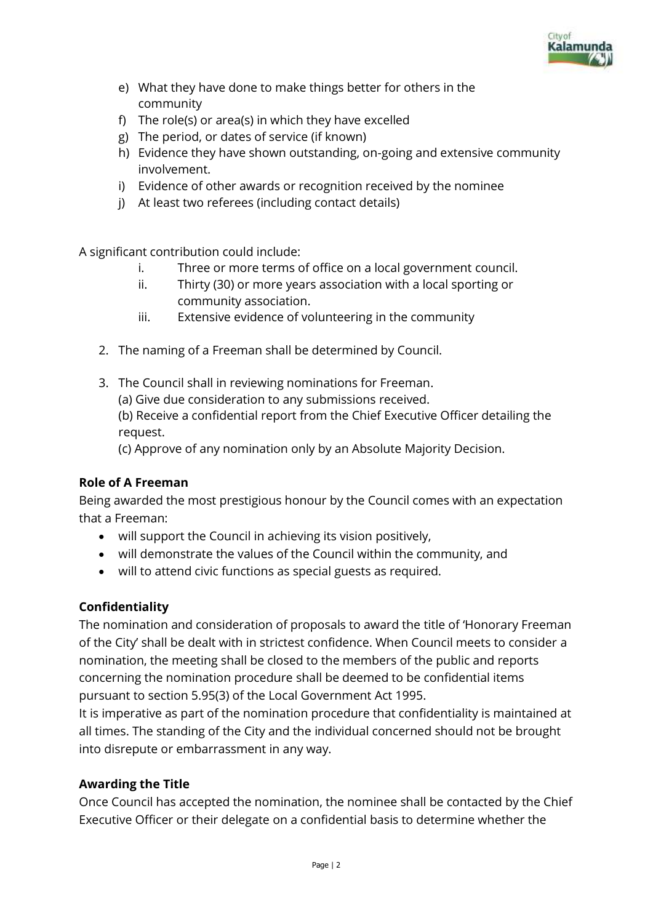

- e) What they have done to make things better for others in the community
- f) The role(s) or area(s) in which they have excelled
- g) The period, or dates of service (if known)
- h) Evidence they have shown outstanding, on-going and extensive community involvement.
- i) Evidence of other awards or recognition received by the nominee
- j) At least two referees (including contact details)

A significant contribution could include:

- i. Three or more terms of office on a local government council.
- ii. Thirty (30) or more years association with a local sporting or community association.
- iii. Extensive evidence of volunteering in the community
- 2. The naming of a Freeman shall be determined by Council.
- 3. The Council shall in reviewing nominations for Freeman.

(a) Give due consideration to any submissions received.

(b) Receive a confidential report from the Chief Executive Officer detailing the request.

(c) Approve of any nomination only by an Absolute Majority Decision.

## **Role of A Freeman**

Being awarded the most prestigious honour by the Council comes with an expectation that a Freeman:

- will support the Council in achieving its vision positively,
- will demonstrate the values of the Council within the community, and
- will to attend civic functions as special guests as required.

## **Confidentiality**

The nomination and consideration of proposals to award the title of 'Honorary Freeman of the City' shall be dealt with in strictest confidence. When Council meets to consider a nomination, the meeting shall be closed to the members of the public and reports concerning the nomination procedure shall be deemed to be confidential items pursuant to section 5.95(3) of the Local Government Act 1995.

It is imperative as part of the nomination procedure that confidentiality is maintained at all times. The standing of the City and the individual concerned should not be brought into disrepute or embarrassment in any way.

# **Awarding the Title**

Once Council has accepted the nomination, the nominee shall be contacted by the Chief Executive Officer or their delegate on a confidential basis to determine whether the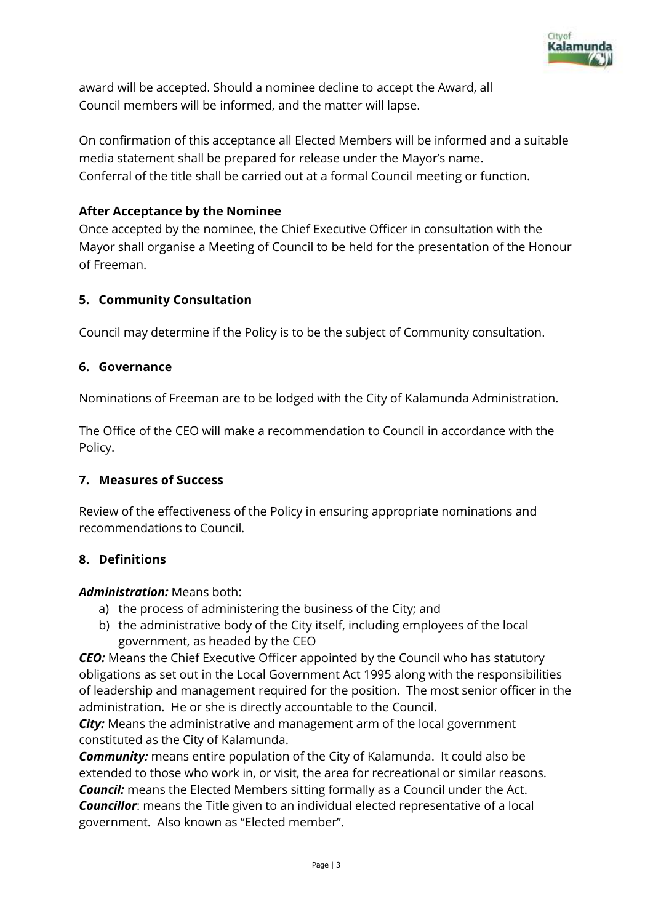

award will be accepted. Should a nominee decline to accept the Award, all Council members will be informed, and the matter will lapse.

On confirmation of this acceptance all Elected Members will be informed and a suitable media statement shall be prepared for release under the Mayor's name. Conferral of the title shall be carried out at a formal Council meeting or function.

### **After Acceptance by the Nominee**

Once accepted by the nominee, the Chief Executive Officer in consultation with the Mayor shall organise a Meeting of Council to be held for the presentation of the Honour of Freeman.

### **5. Community Consultation**

Council may determine if the Policy is to be the subject of Community consultation.

### **6. Governance**

Nominations of Freeman are to be lodged with the City of Kalamunda Administration.

The Office of the CEO will make a recommendation to Council in accordance with the Policy.

#### **7. Measures of Success**

Review of the effectiveness of the Policy in ensuring appropriate nominations and recommendations to Council.

#### **8. Definitions**

#### *Administration:* Means both:

- a) the process of administering the business of the City; and
- b) the administrative body of the City itself, including employees of the local government, as headed by the CEO

*CEO:* Means the Chief Executive Officer appointed by the Council who has statutory obligations as set out in the Local Government Act 1995 along with the responsibilities of leadership and management required for the position. The most senior officer in the administration. He or she is directly accountable to the Council.

*City:* Means the administrative and management arm of the local government constituted as the City of Kalamunda.

*Community:* means entire population of the City of Kalamunda. It could also be extended to those who work in, or visit, the area for recreational or similar reasons. *Council:* means the Elected Members sitting formally as a Council under the Act. *Councillor*: means the Title given to an individual elected representative of a local government. Also known as "Elected member".